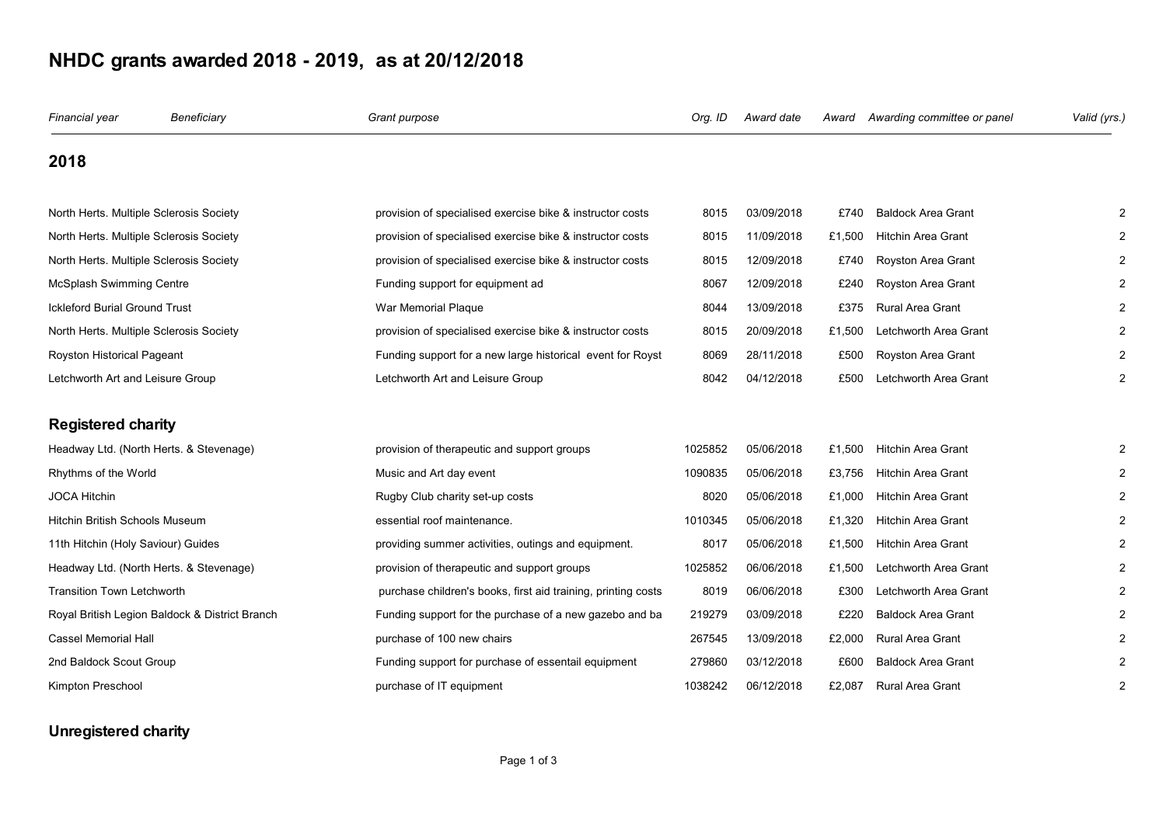## **NHDC grants awarded 2018 - 2019, as at 20/12/2018**

| Financial year                          | Beneficiary                                    | Grant purpose                                                 | Org. ID | Award date | Award  | Awarding committee or panel | Valid (yrs.) |
|-----------------------------------------|------------------------------------------------|---------------------------------------------------------------|---------|------------|--------|-----------------------------|--------------|
| 2018                                    |                                                |                                                               |         |            |        |                             |              |
| North Herts. Multiple Sclerosis Society |                                                | provision of specialised exercise bike & instructor costs     | 8015    | 03/09/2018 | £740   | <b>Baldock Area Grant</b>   |              |
| North Herts. Multiple Sclerosis Society |                                                | provision of specialised exercise bike & instructor costs     | 8015    | 11/09/2018 | £1,500 | <b>Hitchin Area Grant</b>   |              |
| North Herts. Multiple Sclerosis Society |                                                | provision of specialised exercise bike & instructor costs     | 8015    | 12/09/2018 | £740   | Royston Area Grant          |              |
| McSplash Swimming Centre                |                                                | Funding support for equipment ad                              | 8067    | 12/09/2018 | £240   | Royston Area Grant          |              |
| <b>Ickleford Burial Ground Trust</b>    |                                                | War Memorial Plaque                                           | 8044    | 13/09/2018 | £375   | <b>Rural Area Grant</b>     |              |
| North Herts. Multiple Sclerosis Society |                                                | provision of specialised exercise bike & instructor costs     | 8015    | 20/09/2018 | £1,500 | Letchworth Area Grant       |              |
| Royston Historical Pageant              |                                                | Funding support for a new large historical event for Royst    | 8069    | 28/11/2018 | £500   | Royston Area Grant          |              |
| Letchworth Art and Leisure Group        |                                                | Letchworth Art and Leisure Group                              | 8042    | 04/12/2018 | £500   | Letchworth Area Grant       |              |
| <b>Registered charity</b>               |                                                |                                                               |         |            |        |                             |              |
|                                         | Headway Ltd. (North Herts. & Stevenage)        | provision of therapeutic and support groups                   | 1025852 | 05/06/2018 | £1,500 | <b>Hitchin Area Grant</b>   |              |
| Rhythms of the World                    |                                                | Music and Art day event                                       | 1090835 | 05/06/2018 | £3,756 | Hitchin Area Grant          |              |
| <b>JOCA Hitchin</b>                     |                                                | Rugby Club charity set-up costs                               | 8020    | 05/06/2018 | £1,000 | <b>Hitchin Area Grant</b>   |              |
| Hitchin British Schools Museum          |                                                | essential roof maintenance.                                   | 1010345 | 05/06/2018 | £1,320 | <b>Hitchin Area Grant</b>   |              |
| 11th Hitchin (Holy Saviour) Guides      |                                                | providing summer activities, outings and equipment.           | 8017    | 05/06/2018 | £1,500 | <b>Hitchin Area Grant</b>   |              |
|                                         | Headway Ltd. (North Herts. & Stevenage)        | provision of therapeutic and support groups                   | 1025852 | 06/06/2018 | £1,500 | Letchworth Area Grant       |              |
| <b>Transition Town Letchworth</b>       |                                                | purchase children's books, first aid training, printing costs | 8019    | 06/06/2018 | £300   | Letchworth Area Grant       |              |
|                                         | Royal British Legion Baldock & District Branch | Funding support for the purchase of a new gazebo and ba       | 219279  | 03/09/2018 | £220   | <b>Baldock Area Grant</b>   |              |
| Cassel Memorial Hall                    |                                                | purchase of 100 new chairs                                    | 267545  | 13/09/2018 | £2,000 | Rural Area Grant            |              |
| 2nd Baldock Scout Group                 |                                                | Funding support for purchase of essentail equipment           | 279860  | 03/12/2018 | £600   | <b>Baldock Area Grant</b>   |              |
| Kimpton Preschool                       |                                                | purchase of IT equipment                                      | 1038242 | 06/12/2018 | £2,087 | Rural Area Grant            |              |

## **Unregistered charity**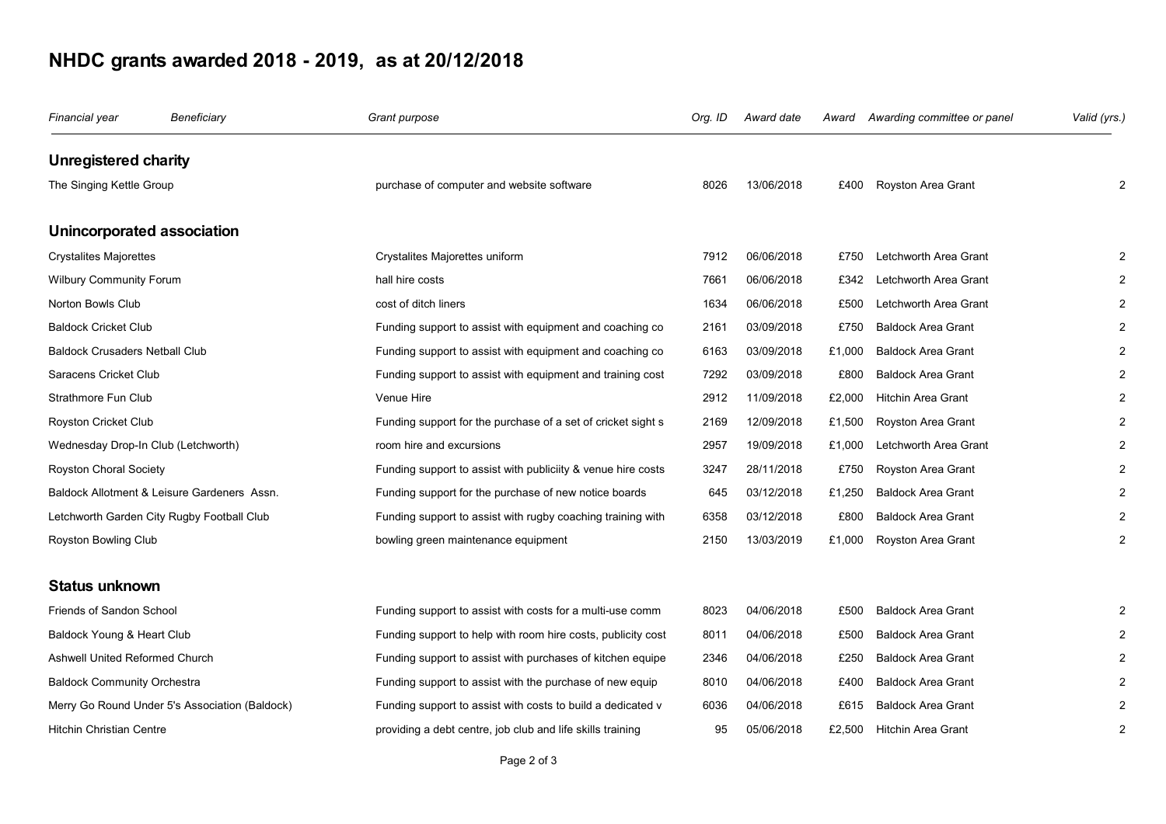## **NHDC grants awarded 2018 - 2019, as at 20/12/2018**

| Financial year                      | Beneficiary                                    | Grant purpose                                                | Org. ID | Award date | Award  | Awarding committee or panel | Valid (yrs.)   |
|-------------------------------------|------------------------------------------------|--------------------------------------------------------------|---------|------------|--------|-----------------------------|----------------|
| <b>Unregistered charity</b>         |                                                |                                                              |         |            |        |                             |                |
| The Singing Kettle Group            |                                                | purchase of computer and website software                    | 8026    | 13/06/2018 | £400   | Royston Area Grant          | 2              |
| Unincorporated association          |                                                |                                                              |         |            |        |                             |                |
| <b>Crystalites Majorettes</b>       |                                                | Crystalites Majorettes uniform                               | 7912    | 06/06/2018 | £750   | Letchworth Area Grant       | 2              |
| Wilbury Community Forum             |                                                | hall hire costs                                              | 7661    | 06/06/2018 | £342   | Letchworth Area Grant       | 2              |
| Norton Bowls Club                   |                                                | cost of ditch liners                                         | 1634    | 06/06/2018 | £500   | Letchworth Area Grant       | 2              |
| <b>Baldock Cricket Club</b>         |                                                | Funding support to assist with equipment and coaching co     | 2161    | 03/09/2018 | £750   | <b>Baldock Area Grant</b>   | 2              |
| Baldock Crusaders Netball Club      |                                                | Funding support to assist with equipment and coaching co     | 6163    | 03/09/2018 | £1,000 | <b>Baldock Area Grant</b>   | $\overline{2}$ |
| Saracens Cricket Club               |                                                | Funding support to assist with equipment and training cost   | 7292    | 03/09/2018 | £800   | <b>Baldock Area Grant</b>   | $\overline{2}$ |
| Strathmore Fun Club                 |                                                | Venue Hire                                                   | 2912    | 11/09/2018 | £2,000 | <b>Hitchin Area Grant</b>   | $\overline{2}$ |
| Royston Cricket Club                |                                                | Funding support for the purchase of a set of cricket sight s | 2169    | 12/09/2018 | £1,500 | Royston Area Grant          | $\overline{2}$ |
| Wednesday Drop-In Club (Letchworth) |                                                | room hire and excursions                                     | 2957    | 19/09/2018 | £1,000 | Letchworth Area Grant       |                |
| Royston Choral Society              |                                                | Funding support to assist with publiciity & venue hire costs | 3247    | 28/11/2018 | £750   | Royston Area Grant          | $\overline{2}$ |
|                                     | Baldock Allotment & Leisure Gardeners Assn.    | Funding support for the purchase of new notice boards        | 645     | 03/12/2018 | £1,250 | <b>Baldock Area Grant</b>   | 2              |
|                                     | Letchworth Garden City Rugby Football Club     | Funding support to assist with rugby coaching training with  | 6358    | 03/12/2018 | £800   | <b>Baldock Area Grant</b>   | 2              |
| Royston Bowling Club                |                                                | bowling green maintenance equipment                          | 2150    | 13/03/2019 | £1,000 | Royston Area Grant          | $\overline{2}$ |
| <b>Status unknown</b>               |                                                |                                                              |         |            |        |                             |                |
| <b>Friends of Sandon School</b>     |                                                | Funding support to assist with costs for a multi-use comm    | 8023    | 04/06/2018 | £500   | <b>Baldock Area Grant</b>   | 2              |
| Baldock Young & Heart Club          |                                                | Funding support to help with room hire costs, publicity cost | 8011    | 04/06/2018 | £500   | <b>Baldock Area Grant</b>   |                |
| Ashwell United Reformed Church      |                                                | Funding support to assist with purchases of kitchen equipe   | 2346    | 04/06/2018 | £250   | <b>Baldock Area Grant</b>   | 2              |
| <b>Baldock Community Orchestra</b>  |                                                | Funding support to assist with the purchase of new equip     | 8010    | 04/06/2018 | £400   | <b>Baldock Area Grant</b>   |                |
|                                     | Merry Go Round Under 5's Association (Baldock) | Funding support to assist with costs to build a dedicated v  | 6036    | 04/06/2018 | £615   | <b>Baldock Area Grant</b>   | $\overline{2}$ |
| Hitchin Christian Centre            |                                                | providing a debt centre, job club and life skills training   | 95      | 05/06/2018 | £2.500 | <b>Hitchin Area Grant</b>   | $\overline{2}$ |